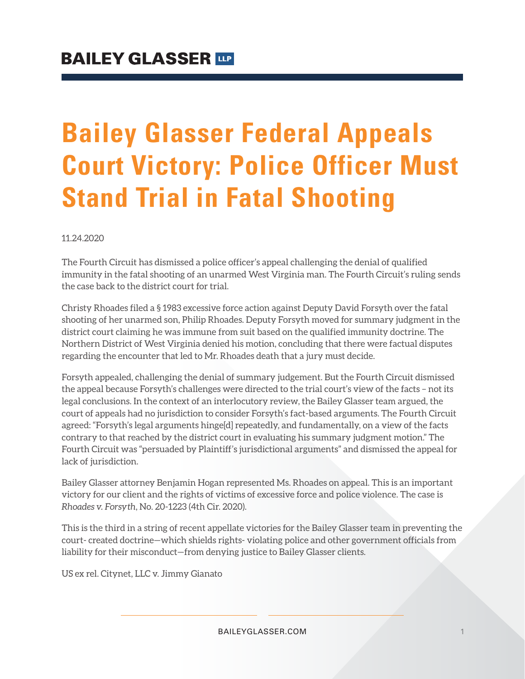## **Bailey Glasser Federal Appeals Court Victory: Police Officer Must Stand Trial in Fatal Shooting**

11.24.2020

The Fourth Circuit has dismissed a police officer's appeal challenging the denial of qualified immunity in the fatal shooting of an unarmed West Virginia man. The Fourth Circuit's ruling sends the case back to the district court for trial.

Christy Rhoades filed a § 1983 excessive force action against Deputy David Forsyth over the fatal shooting of her unarmed son, Philip Rhoades. Deputy Forsyth moved for summary judgment in the district court claiming he was immune from suit based on the qualified immunity doctrine. The Northern District of West Virginia denied his motion, concluding that there were factual disputes regarding the encounter that led to Mr. Rhoades death that a jury must decide.

Forsyth appealed, challenging the denial of summary judgement. But the Fourth Circuit dismissed the appeal because Forsyth's challenges were directed to the trial court's view of the facts – not its legal conclusions. In the context of an interlocutory review, the Bailey Glasser team argued, the court of appeals had no jurisdiction to consider Forsyth's fact-based arguments. The Fourth Circuit agreed: "Forsyth's legal arguments hinge[d] repeatedly, and fundamentally, on a view of the facts contrary to that reached by the district court in evaluating his summary judgment motion." The Fourth Circuit was "persuaded by Plaintiff's jurisdictional arguments" and dismissed the appeal for lack of jurisdiction.

Bailey Glasser attorney Benjamin Hogan represented Ms. Rhoades on appeal. This is an important victory for our client and the rights of victims of excessive force and police violence. The case is *Rhoades v. Forsyth*, No. 20-1223 (4th Cir. 2020).

This is the third in a string of recent appellate victories for the Bailey Glasser team in preventing the court‐ created doctrine—which shields rights‐ violating police and other government officials from liability for their misconduct—from denying justice to Bailey Glasser clients.

US ex rel. Citynet, LLC v. Jimmy Gianato